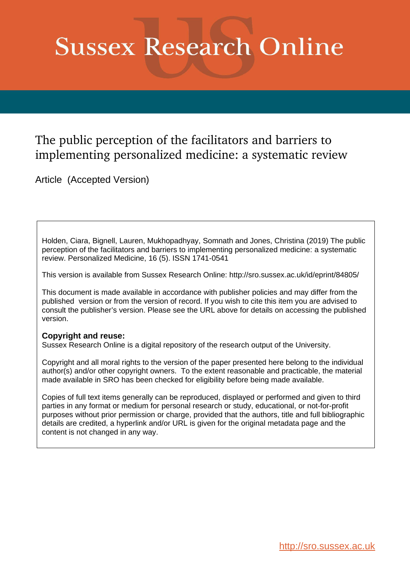# **Sussex Research Online**

# The public perception of the facilitators and barriers to implementing personalized medicine: a systematic review

Article (Accepted Version)

Holden, Ciara, Bignell, Lauren, Mukhopadhyay, Somnath and Jones, Christina (2019) The public perception of the facilitators and barriers to implementing personalized medicine: a systematic review. Personalized Medicine, 16 (5). ISSN 1741-0541

This version is available from Sussex Research Online: http://sro.sussex.ac.uk/id/eprint/84805/

This document is made available in accordance with publisher policies and may differ from the published version or from the version of record. If you wish to cite this item you are advised to consult the publisher's version. Please see the URL above for details on accessing the published version.

#### **Copyright and reuse:**

Sussex Research Online is a digital repository of the research output of the University.

Copyright and all moral rights to the version of the paper presented here belong to the individual author(s) and/or other copyright owners. To the extent reasonable and practicable, the material made available in SRO has been checked for eligibility before being made available.

Copies of full text items generally can be reproduced, displayed or performed and given to third parties in any format or medium for personal research or study, educational, or not-for-profit purposes without prior permission or charge, provided that the authors, title and full bibliographic details are credited, a hyperlink and/or URL is given for the original metadata page and the content is not changed in any way.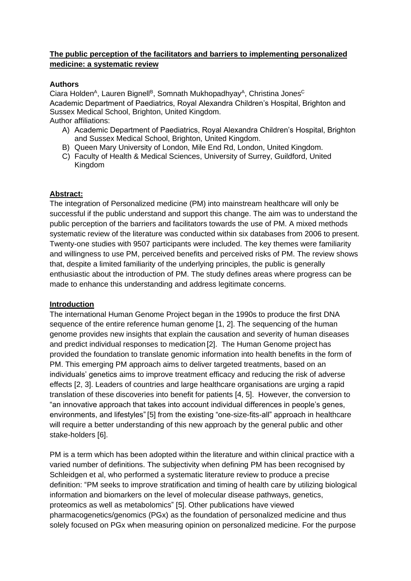## **The public perception of the facilitators and barriers to implementing personalized medicine: a systematic review**

## **Authors**

Ciara Holden<sup>A</sup>, Lauren Bignell<sup>B</sup>, Somnath Mukhopadhyay<sup>A</sup>, Christina Jones<sup>C</sup> Academic Department of Paediatrics, Royal Alexandra Children's Hospital, Brighton and Sussex Medical School, Brighton, United Kingdom. Author affiliations:

- A) Academic Department of Paediatrics, Royal Alexandra Children's Hospital, Brighton and Sussex Medical School, Brighton, United Kingdom.
- B) Queen Mary University of London, Mile End Rd, London, United Kingdom.
- C) Faculty of Health & Medical Sciences, University of Surrey, Guildford, United Kingdom

#### **Abstract:**

The integration of Personalized medicine (PM) into mainstream healthcare will only be successful if the public understand and support this change. The aim was to understand the public perception of the barriers and facilitators towards the use of PM. A mixed methods systematic review of the literature was conducted within six databases from 2006 to present. Twenty-one studies with 9507 participants were included. The key themes were familiarity and willingness to use PM, perceived benefits and perceived risks of PM. The review shows that, despite a limited familiarity of the underlying principles, the public is generally enthusiastic about the introduction of PM. The study defines areas where progress can be made to enhance this understanding and address legitimate concerns.

#### **Introduction**

The international Human Genome Project began in the 1990s to produce the first DNA sequence of the entire reference human genome [1, 2]. The sequencing of the human genome provides new insights that explain the causation and severity of human diseases and predict individual responses to medication [2]. The Human Genome project has provided the foundation to translate genomic information into health benefits in the form of PM. This emerging PM approach aims to deliver targeted treatments, based on an individuals' genetics aims to improve treatment efficacy and reducing the risk of adverse effects [2, 3]. Leaders of countries and large healthcare organisations are urging a rapid translation of these discoveries into benefit for patients [4, 5]. However, the conversion to "an innovative approach that takes into account individual differences in people's genes, environments, and lifestyles" [5] from the existing "one-size-fits-all" approach in healthcare will require a better understanding of this new approach by the general public and other stake-holders [6].

PM is a term which has been adopted within the literature and within clinical practice with a varied number of definitions. The subjectivity when defining PM has been recognised by Schleidgen et al, who performed a systematic literature review to produce a precise definition: "PM seeks to improve stratification and timing of health care by utilizing biological information and biomarkers on the level of molecular disease pathways, genetics, proteomics as well as metabolomics" [5]. Other publications have viewed pharmacogenetics/genomics (PGx) as the foundation of personalized medicine and thus solely focused on PGx when measuring opinion on personalized medicine. For the purpose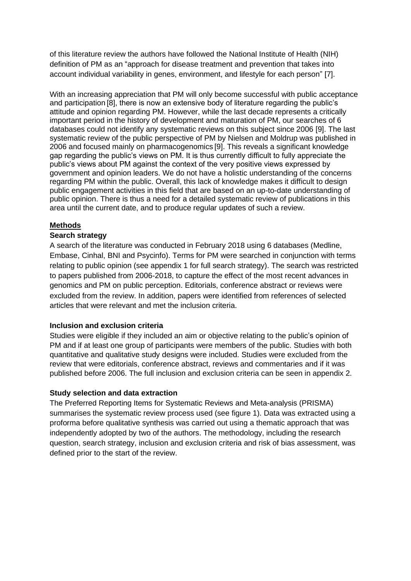of this literature review the authors have followed the National Institute of Health (NIH) definition of PM as an "approach for disease treatment and prevention that takes into account individual variability in genes, environment, and lifestyle for each person" [7].

With an increasing appreciation that PM will only become successful with public acceptance and participation [8], there is now an extensive body of literature regarding the public's attitude and opinion regarding PM. However, while the last decade represents a critically important period in the history of development and maturation of PM, our searches of 6 databases could not identify any systematic reviews on this subject since 2006 [9]. The last systematic review of the public perspective of PM by Nielsen and Moldrup was published in 2006 and focused mainly on pharmacogenomics [9]. This reveals a significant knowledge gap regarding the public's views on PM. It is thus currently difficult to fully appreciate the public's views about PM against the context of the very positive views expressed by government and opinion leaders. We do not have a holistic understanding of the concerns regarding PM within the public. Overall, this lack of knowledge makes it difficult to design public engagement activities in this field that are based on an up-to-date understanding of public opinion. There is thus a need for a detailed systematic review of publications in this area until the current date, and to produce regular updates of such a review.

#### **Methods**

#### **Search strategy**

A search of the literature was conducted in February 2018 using 6 databases (Medline, Embase, Cinhal, BNI and Psycinfo). Terms for PM were searched in conjunction with terms relating to public opinion (see appendix 1 for full search strategy). The search was restricted to papers published from 2006-2018, to capture the effect of the most recent advances in genomics and PM on public perception. Editorials, conference abstract or reviews were excluded from the review. In addition, papers were identified from references of selected articles that were relevant and met the inclusion criteria.

#### **Inclusion and exclusion criteria**

Studies were eligible if they included an aim or objective relating to the public's opinion of PM and if at least one group of participants were members of the public. Studies with both quantitative and qualitative study designs were included. Studies were excluded from the review that were editorials, conference abstract, reviews and commentaries and if it was published before 2006. The full inclusion and exclusion criteria can be seen in appendix 2.

#### **Study selection and data extraction**

The Preferred Reporting Items for Systematic Reviews and Meta-analysis (PRISMA) summarises the systematic review process used (see figure 1). Data was extracted using a proforma before qualitative synthesis was carried out using a thematic approach that was independently adopted by two of the authors. The methodology, including the research question, search strategy, inclusion and exclusion criteria and risk of bias assessment, was defined prior to the start of the review.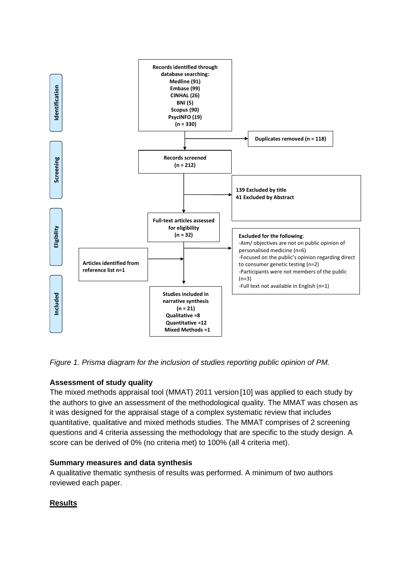

*Figure 1. Prisma diagram for the inclusion of studies reporting public opinion of PM.* 

# **Assessment of study quality**

The mixed methods appraisal tool (MMAT) 2011 version [10] was applied to each study by the authors to give an assessment of the methodological quality. The MMAT was chosen as it was designed for the appraisal stage of a complex systematic review that includes quantitative, qualitative and mixed methods studies. The MMAT comprises of 2 screening questions and 4 criteria assessing the methodology that are specific to the study design. A score can be derived of 0% (no criteria met) to 100% (all 4 criteria met).

#### **Summary measures and data synthesis**

A qualitative thematic synthesis of results was performed. A minimum of two authors reviewed each paper.

#### **Results**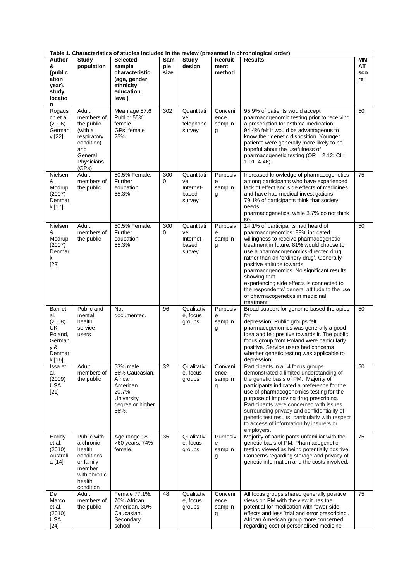| Table 1. Characteristics of studies included in the review (presented in chronological order) |                                                                                                                    |                                                                                                        |                    |                                                  |                                 |                                                                                                                                                                                                                                                                                                                                                                                                                                                                                          |                              |
|-----------------------------------------------------------------------------------------------|--------------------------------------------------------------------------------------------------------------------|--------------------------------------------------------------------------------------------------------|--------------------|--------------------------------------------------|---------------------------------|------------------------------------------------------------------------------------------------------------------------------------------------------------------------------------------------------------------------------------------------------------------------------------------------------------------------------------------------------------------------------------------------------------------------------------------------------------------------------------------|------------------------------|
| Author<br>&<br>(public<br>ation<br>year),<br>study<br>locatio<br>n                            | <b>Study</b><br>population                                                                                         | <b>Selected</b><br>sample<br>characteristic<br>(age, gender,<br>ethnicity,<br>education<br>level)      | Sam<br>ple<br>size | Study<br>design                                  | Recruit<br>ment<br>method       | <b>Results</b>                                                                                                                                                                                                                                                                                                                                                                                                                                                                           | MМ<br>AT<br><b>SCO</b><br>re |
| Rogaus<br>ch et al.<br>(2006)<br>German<br>y [22]                                             | Adult<br>members of<br>the public<br>(with a<br>respiratory<br>condition)<br>and<br>General<br>Physicians<br>(GPs) | Mean age 57.6<br>Public: 55%<br>female.<br>GPs: female<br>25%                                          | 302                | Quantitati<br>ve.<br>telephone<br>survey         | Conveni<br>ence<br>samplin<br>g | 95.9% of patients would accept<br>pharmacogenomic testing prior to receiving<br>a prescription for asthma medication.<br>94.4% felt it would be advantageous to<br>know their genetic disposition. Younger<br>patients were generally more likely to be<br>hopeful about the usefulness of<br>pharmacogenetic testing ( $OR = 2.12$ ; $Cl =$<br>$1.01 - 4.46$ ).                                                                                                                         | 50                           |
| Nielsen<br>&<br>Modrup<br>(2007)<br>Denmar<br>k [17]                                          | Adult<br>members of<br>the public                                                                                  | 50.5% Female.<br>Further<br>education<br>55.3%                                                         | 300<br>0           | Quantitati<br>ve<br>Internet-<br>based<br>survey | Purposiv<br>е<br>samplin<br>g   | Increased knowledge of pharmacogenetics<br>among participants who have experienced<br>lack of effect and side effects of medicines<br>and have had medical investigations.<br>79.1% of participants think that society<br>needs<br>pharmacogenetics, while 3.7% do not think<br>SO,                                                                                                                                                                                                      | 75                           |
| Nielsen<br>&<br>Modrup<br>(2007)<br>Denmar<br>k<br>$[23]$                                     | Adult<br>members of<br>the public                                                                                  | 50.5% Female.<br>Further<br>education<br>55.3%                                                         | 300<br>$\Omega$    | Quantitati<br>ve<br>Internet-<br>based<br>survey | Purposiv<br>е<br>samplin<br>g   | 14.1% of participants had heard of<br>pharmacogenomics. 89% indicated<br>willingness to receive pharmacogenetic<br>treatment in future. 81% would choose to<br>use a pharmacogenomics-directed drug<br>rather than an 'ordinary drug'. Generally<br>positive attitude towards<br>pharmacogenomics. No significant results<br>showing that<br>experiencing side effects is connected to<br>the respondents' general attitude to the use<br>of pharmacogenetics in medicinal<br>treatment. | 50                           |
| Barr et<br>al.<br>(2008)<br>UK,<br>Poland,<br>German<br>y &<br>Denmar<br>k [16]               | Public and<br>mental<br>health<br>service<br>users                                                                 | Not<br>documented.                                                                                     | 96                 | Qualitativ<br>e, focus<br>groups                 | Purposiv<br>e<br>samplin<br>g   | Broad support for genome-based therapies<br>for<br>depression. Public groups felt<br>pharmacogenomics was generally a good<br>idea and felt positive towards it. The public<br>focus group from Poland were particularly<br>positive. Service users had concerns<br>whether genetic testing was applicable to<br>depression.                                                                                                                                                             | 50                           |
| Issa et<br>al.<br>(2009)<br><b>USA</b><br>$[21]$                                              | Adult<br>members of<br>the public                                                                                  | 53% male.<br>66% Caucasian,<br>African<br>American<br>20.7%.<br>University<br>degree or higher<br>66%, | 32                 | Qualitativ<br>e, focus<br>groups                 | Conveni<br>ence<br>samplin<br>g | Participants in all 4 focus groups<br>demonstrated a limited understanding of<br>the genetic basis of PM. Majority of<br>participants indicated a preference for the<br>use of pharmacogenomics testing for the<br>purpose of improving drug prescribing.<br>Participants were concerned with issues<br>surrounding privacy and confidentiality of<br>genetic test results, particularly with respect<br>to access of information by insurers or<br>employers.                           | 50                           |
| Haddy<br>et al.<br>(2010)<br>Australi<br>a [14]                                               | Public with<br>a chronic<br>health<br>conditions<br>or family<br>member<br>with chronic<br>health<br>condition     | Age range 18-<br>>60 years. 74%<br>female.                                                             | 35                 | Qualitativ<br>e, focus<br>groups                 | Purposiv<br>е<br>samplin<br>g   | Majority of participants unfamiliar with the<br>genetic basis of PM. Pharmacogenetic<br>testing viewed as being potentially positive.<br>Concerns regarding storage and privacy of<br>genetic information and the costs involved.                                                                                                                                                                                                                                                        | 75                           |
| De<br>Marco<br>et al.<br>(2010)<br><b>USA</b><br>$[24]$                                       | Adult<br>members of<br>the public                                                                                  | Female 77.1%.<br>70% African<br>American, 30%<br>Caucasian.<br>Secondary<br>school                     | 48                 | Qualitativ<br>e, focus<br>groups                 | Conveni<br>ence<br>samplin<br>g | All focus groups shared generally positive<br>views on PM with the view it has the<br>potential for medication with fewer side<br>effects and less 'trial and error prescribing'.<br>African American group more concerned<br>regarding cost of personalised medicine                                                                                                                                                                                                                    | 75                           |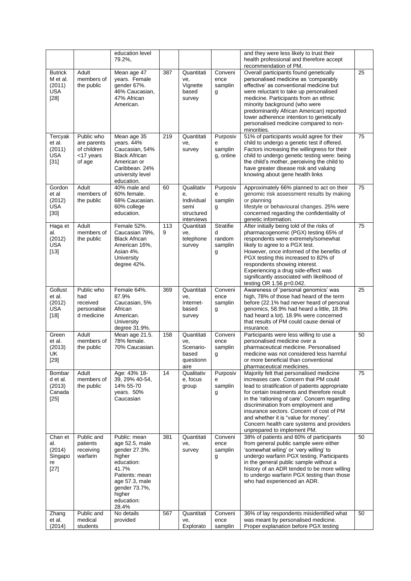|                                                              |                                                                 | education level<br>79.2%,                                                                                                                                              |          |                                                                    |                                                 | and they were less likely to trust their<br>health professional and therefore accept<br>recommendation of PM.                                                                                                                                                                                                                                                                                                                             |    |
|--------------------------------------------------------------|-----------------------------------------------------------------|------------------------------------------------------------------------------------------------------------------------------------------------------------------------|----------|--------------------------------------------------------------------|-------------------------------------------------|-------------------------------------------------------------------------------------------------------------------------------------------------------------------------------------------------------------------------------------------------------------------------------------------------------------------------------------------------------------------------------------------------------------------------------------------|----|
| <b>Butrick</b><br>M et al.<br>(2011)<br><b>USA</b><br>$[28]$ | Adult<br>members of<br>the public                               | Mean age 47<br>years. Female<br>gender 67%.<br>46% Caucasian,<br>47% African<br>American.                                                                              | 387      | Quantitati<br>ve.<br>Vignette<br>based<br>survey                   | Conveni<br>ence<br>samplin<br>g                 | Overall participants found genetically<br>personalised medicine as 'comparably<br>effective' as conventional medicine but<br>were reluctant to take up personalised<br>medicine. Participants from an ethnic<br>minority background (who were<br>predominantly African American) reported<br>lower adherence intention to genetically<br>personalised medicine compared to non-<br>minorities.                                            | 25 |
| Tercyak<br>et al.<br>(2011)<br><b>USA</b><br>$[31]$          | Public who<br>are parents<br>of children<br><17 years<br>of age | Mean age 35<br>years. 44%<br>Caucasian, 54%<br><b>Black African</b><br>American or<br>Caribbean. 24%<br>university level<br>education.                                 | 219      | Quantitati<br>ve.<br>survey                                        | Purposiv<br>е<br>samplin<br>g, online           | 51% of participants would agree for their<br>child to undergo a genetic test if offered.<br>Factors increasing the willingness for their<br>child to undergo genetic testing were: being<br>the child's mother, perceiving the child to<br>have greater disease risk and valuing<br>knowing about gene health links                                                                                                                       | 75 |
| Gordon<br>et al<br>(2012)<br><b>USA</b><br>$[30]$            | Adult<br>members of<br>the public                               | 40% male and<br>60% female.<br>68% Caucasian.<br>60% college<br>education.                                                                                             | 60       | Qualitativ<br>е,<br>Individual<br>semi<br>structured<br>interviews | Purposiv<br>е<br>samplin<br>g                   | Approximately 66% planned to act on their<br>genomic risk assessment results by making<br>or planning<br>lifestyle or behavioural changes. 25% were<br>concerned regarding the confidentiality of<br>genetic information.                                                                                                                                                                                                                 | 75 |
| Haga et<br>al.<br>(2012)<br><b>USA</b><br>$[13]$             | Adult<br>members of<br>the public                               | Female 52%.<br>Caucasian 78%,<br><b>Black African</b><br>American 16%,<br>Asian 4%.<br>University<br>degree 42%.                                                       | 113<br>9 | Quantitati<br>ve,<br>telephone<br>survey                           | <b>Stratifie</b><br>d<br>random<br>samplin<br>g | After initially being told of the risks of<br>pharmacogenomic (PGX) testing 65% of<br>respondents were extremely/somewhat<br>likely to agree to a PGX test.<br>However, once informed of the benefits of<br>PGX testing this increased to 82% of<br>respondents showing interest.<br>Experiencing a drug side-effect was<br>significantly associated with likelihood of<br>testing OR 1.56 p=0.042.                                       | 75 |
| Gollust<br>et al.<br>(2012)<br><b>USA</b><br>$[18]$          | Public who<br>had<br>received<br>personalise<br>d medicine      | Female 64%.<br>87.9%<br>Caucasian, 5%<br>African<br>American.<br>University<br>degree 31.9%.                                                                           | 369      | Quantitati<br>ve,<br>Internet-<br>based<br>survey                  | Conveni<br>ence<br>samplin<br>g                 | Awareness of 'personal genomics' was<br>high, 78% of those had heard of the term<br>before (22.1% had never heard of personal<br>genomics, 58.9% had heard a little, 18.9%<br>had heard a lot). 18.9% were concerned<br>that results of PM could cause denial of<br>insurance.                                                                                                                                                            | 25 |
| Green<br>et al.<br>(2013)<br>UK<br>$[29]$                    | Adult<br>members of<br>the public                               | Mean age 21.5.<br>78% female.<br>70% Caucasian.                                                                                                                        | 158      | Quantitati<br>ve,<br>Scenario-<br>based<br>questionn<br>aire       | Conveni<br>ence<br>samplin<br>g                 | Participants were less willing to use a<br>personalised medicine over a<br>pharmaceutical medicine. Personalised<br>medicine was not considered less harmful<br>or more beneficial than conventional<br>pharmaceutical medicines.                                                                                                                                                                                                         | 50 |
| Bombar<br>d et al.<br>(2013)<br>Canada<br>[25]               | Adult<br>members of<br>the public                               | Age: 43% 18-<br>39, 29% 40-54,<br>14% 55-70<br>years. 50%<br>Caucasian                                                                                                 | 14       | Qualitativ<br>e, focus<br>group                                    | Purposiv<br>e<br>samplin<br>g                   | Majority felt that personalised medicine<br>increases care. Concern that PM could<br>lead to stratification of patients appropriate<br>for certain treatments and therefore result<br>in the 'rationing of care'. Concern regarding<br>discrimination from employment and<br>insurance sectors. Concern of cost of PM<br>and whether it is "value for money".<br>Concern health care systems and providers<br>unprepared to implement PM. | 75 |
| Chan et<br>al.<br>(2014)<br>Singapo<br>re<br>$[27]$          | Public and<br>patients<br>receiving<br>warfarin                 | Public: mean<br>age 52.5, male<br>gender 27.3%.<br>higher<br>education:<br>41.7%<br>Patients: mean<br>age 57.3, male<br>gender 73.7%,<br>higher<br>education:<br>28.4% | 381      | Quantitati<br>ve,<br>survey                                        | Conveni<br>ence<br>samplin<br>g                 | 38% of patients and 60% of participants<br>from general public sample were either<br>'somewhat wiling' or 'very willing' to<br>undergo warfarin PGX testing. Participants<br>in the general public sample without a<br>history of an ADR tended to be more willing<br>to undergo warfarin PGX testing than those<br>who had experienced an ADR.                                                                                           | 50 |
| Zhang<br>et al.<br>(2014)                                    | Public and<br>medical<br>students                               | No details<br>provided                                                                                                                                                 | 567      | Quantitati<br>ve,<br>Explorato                                     | Conveni<br>ence<br>samplin                      | 36% of lay respondents misidentified what<br>was meant by personalised medicine.<br>Proper explanation before PGX testing                                                                                                                                                                                                                                                                                                                 | 50 |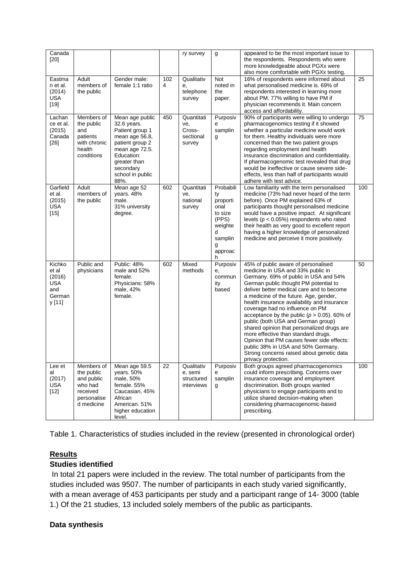| Canada<br>[20]                                                     |                                                                                            |                                                                                                                                                                                 |          | ry survey                                          | g                                                                                                       | appeared to be the most important issue to<br>the respondents. Respondents who were<br>more knowledgeable about PGXx were<br>also more comfortable with PGXx testing.                                                                                                                                                                                                                                                                                                                                                                                                                                                                                                     |     |
|--------------------------------------------------------------------|--------------------------------------------------------------------------------------------|---------------------------------------------------------------------------------------------------------------------------------------------------------------------------------|----------|----------------------------------------------------|---------------------------------------------------------------------------------------------------------|---------------------------------------------------------------------------------------------------------------------------------------------------------------------------------------------------------------------------------------------------------------------------------------------------------------------------------------------------------------------------------------------------------------------------------------------------------------------------------------------------------------------------------------------------------------------------------------------------------------------------------------------------------------------------|-----|
| Eastma<br>n et al.<br>(2014)<br><b>USA</b><br>$[19]$               | Adult<br>members of<br>the public                                                          | Gender male:<br>female 1:1 ratio                                                                                                                                                | 102<br>4 | Qualitativ<br>е,<br>telephone<br>survey            | Not<br>noted in<br>the<br>paper.                                                                        | 16% of respondents were informed about<br>what personalised medicine is. 69% of<br>respondents interested in learning more<br>about PM. 77% willing to have PM if<br>physician recommends it. Main concern<br>access and affordability.                                                                                                                                                                                                                                                                                                                                                                                                                                   | 25  |
| Lachan<br>ce et al.<br>(2015)<br>Canada<br>$[26]$                  | Members of<br>the public<br>and<br>patients<br>with chronic<br>health<br>conditions        | Mean age public<br>32.6 years.<br>Patient group 1<br>mean age 56.8,<br>patient group 2<br>mean age 72.5.<br>Education:<br>greater than<br>secondary<br>school in public<br>88%. | 450      | Quantitati<br>ve,<br>Cross-<br>sectional<br>survey | Purposiv<br>e<br>samplin<br>g                                                                           | 90% of participants were willing to undergo<br>pharmacogenomics testing if it showed<br>whether a particular medicine would work<br>for them. Healthy individuals were more<br>concerned than the two patient groups<br>regarding employment and health<br>insurance discrimination and confidentiality.<br>If pharmacogenomic test revealed that drug<br>would be ineffective or cause severe side-<br>effects, less than half of participants would<br>adhere with test advice.                                                                                                                                                                                         | 75  |
| Garfield<br>et al.<br>(2015)<br>USA<br>$[15]$                      | Adult<br>members of<br>the public                                                          | Mean age 52<br>years. 48%<br>male.<br>31% university<br>degree.                                                                                                                 | 602      | Quantitati<br>ve.<br>national<br>survey            | Probabili<br>ty<br>proporti<br>onal<br>to size<br>(PPS)<br>weighte<br>d<br>samplin<br>g<br>approac<br>h | Low familiarity with the term personalised<br>medicine (73% had never heard of the term<br>before). Once PM explained 63% of<br>participants thought personalised medicine<br>would have a positive impact. At significant<br>levels ( $p < 0.05\%$ ) respondents who rated<br>their health as very good to excellent report<br>having a higher knowledge of personalized<br>medicine and perceive it more positively.                                                                                                                                                                                                                                                    | 100 |
| Kichko<br>et al<br>(2016)<br><b>USA</b><br>and<br>German<br>y [11] | Public and<br>physicians                                                                   | Public: 48%<br>male and 52%<br>female.<br>Physicians: 58%<br>male, 42%<br>female.                                                                                               | 602      | Mixed<br>methods                                   | Purposiv<br>е,<br>commun<br>ity<br>based                                                                | 45% of public aware of personalised<br>medicine in USA and 33% public in<br>Germany. 69% of public in USA and 54%<br>German public thought PM potential to<br>deliver better medical care and to become<br>a medicine of the future. Age, gender,<br>health insurance availability and insurance<br>coverage had no influence on PM<br>acceptance by the public ( $p > 0.05$ ). 60% of<br>public (both USA and German group)<br>shared opinion that personalized drugs are<br>more effective than standard drugs.<br>Opinion that PM causes fewer side effects:<br>public 38% in USA and 50% Germany.<br>Strong concerns raised about genetic data<br>privacy protection. | 50  |
| Lee et<br>al<br>(2017)<br><b>USA</b><br>$[12]$                     | Members of<br>the public<br>and public<br>who had<br>received<br>personalise<br>d medicine | Mean age 59.5<br>years. 50%<br>male, 50%<br>female. 55%<br>Caucasian, 45%<br>African<br>American. 51%<br>higher education<br>level.                                             | 22       | Qualitativ<br>e, semi<br>structured<br>interviews  | Purposiv<br>e<br>samplin<br>g                                                                           | Both groups agreed pharmacogenomics<br>could inform prescribing. Concerns over<br>insurance coverage and employment<br>discrimination. Both groups wanted<br>physicians to engage participants and to<br>utilize shared decision-making when<br>considering pharmacogenomic-based<br>prescribing.                                                                                                                                                                                                                                                                                                                                                                         | 100 |

Table 1. Characteristics of studies included in the review (presented in chronological order)

# **Results**

# **Studies identified**

In total 21 papers were included in the review. The total number of participants from the studies included was 9507. The number of participants in each study varied significantly, with a mean average of 453 participants per study and a participant range of 14- 3000 (table 1.) Of the 21 studies, 13 included solely members of the public as participants.

#### **Data synthesis**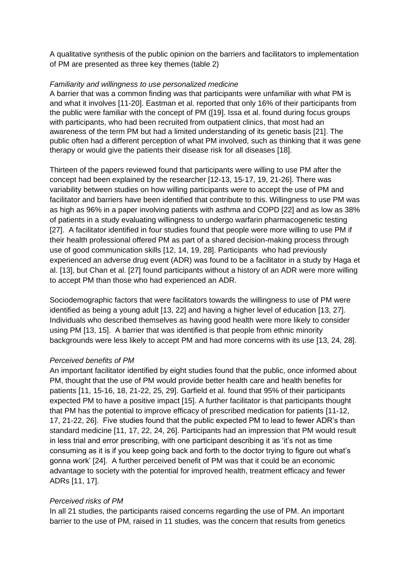A qualitative synthesis of the public opinion on the barriers and facilitators to implementation of PM are presented as three key themes (table 2)

#### *Familiarity and willingness to use personalized medicine*

A barrier that was a common finding was that participants were unfamiliar with what PM is and what it involves [11-20]. Eastman et al. reported that only 16% of their participants from the public were familiar with the concept of PM ([19]. Issa et al. found during focus groups with participants, who had been recruited from outpatient clinics, that most had an awareness of the term PM but had a limited understanding of its genetic basis [21]. The public often had a different perception of what PM involved, such as thinking that it was gene therapy or would give the patients their disease risk for all diseases [18].

Thirteen of the papers reviewed found that participants were willing to use PM after the concept had been explained by the researcher [12-13, 15-17, 19, 21-26]. There was variability between studies on how willing participants were to accept the use of PM and facilitator and barriers have been identified that contribute to this. Willingness to use PM was as high as 96% in a paper involving patients with asthma and COPD [22] and as low as 38% of patients in a study evaluating willingness to undergo warfarin pharmacogenetic testing [27]. A facilitator identified in four studies found that people were more willing to use PM if their health professional offered PM as part of a shared decision-making process through use of good communication skills [12, 14, 19, 28]. Participants who had previously experienced an adverse drug event (ADR) was found to be a facilitator in a study by Haga et al. [13], but Chan et al. [27] found participants without a history of an ADR were more willing to accept PM than those who had experienced an ADR.

Sociodemographic factors that were facilitators towards the willingness to use of PM were identified as being a young adult [13, 22] and having a higher level of education [13, 27]. Individuals who described themselves as having good health were more likely to consider using PM [13, 15]. A barrier that was identified is that people from ethnic minority backgrounds were less likely to accept PM and had more concerns with its use [13, 24, 28].

#### *Perceived benefits of PM*

An important facilitator identified by eight studies found that the public, once informed about PM, thought that the use of PM would provide better health care and health benefits for patients [11, 15-16, 18, 21-22, 25, 29]. Garfield et al. found that 95% of their participants expected PM to have a positive impact [15]. A further facilitator is that participants thought that PM has the potential to improve efficacy of prescribed medication for patients [11-12, 17, 21-22, 26]. Five studies found that the public expected PM to lead to fewer ADR's than standard medicine [11, 17, 22, 24, 26]. Participants had an impression that PM would result in less trial and error prescribing, with one participant describing it as 'it's not as time consuming as it is if you keep going back and forth to the doctor trying to figure out what's gonna work' [24]. A further perceived benefit of PM was that it could be an economic advantage to society with the potential for improved health, treatment efficacy and fewer ADRs [11, 17].

#### *Perceived risks of PM*

In all 21 studies, the participants raised concerns regarding the use of PM. An important barrier to the use of PM, raised in 11 studies, was the concern that results from genetics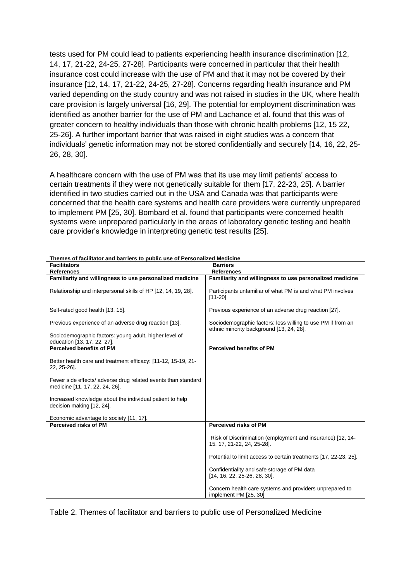tests used for PM could lead to patients experiencing health insurance discrimination [12, 14, 17, 21-22, 24-25, 27-28]. Participants were concerned in particular that their health insurance cost could increase with the use of PM and that it may not be covered by their insurance [12, 14, 17, 21-22, 24-25, 27-28]. Concerns regarding health insurance and PM varied depending on the study country and was not raised in studies in the UK, where health care provision is largely universal [16, 29]. The potential for employment discrimination was identified as another barrier for the use of PM and Lachance et al. found that this was of greater concern to healthy individuals than those with chronic health problems [12, 15 22, 25-26]. A further important barrier that was raised in eight studies was a concern that individuals' genetic information may not be stored confidentially and securely [14, 16, 22, 25- 26, 28, 30].

A healthcare concern with the use of PM was that its use may limit patients' access to certain treatments if they were not genetically suitable for them [17, 22-23, 25]. A barrier identified in two studies carried out in the USA and Canada was that participants were concerned that the health care systems and health care providers were currently unprepared to implement PM [25, 30]. Bombard et al. found that participants were concerned health systems were unprepared particularly in the areas of laboratory genetic testing and health care provider's knowledge in interpreting genetic test results [25].

| Themes of facilitator and barriers to public use of Personalized Medicine                                                                                                                                                                                                |                                                                                                         |  |  |  |  |
|--------------------------------------------------------------------------------------------------------------------------------------------------------------------------------------------------------------------------------------------------------------------------|---------------------------------------------------------------------------------------------------------|--|--|--|--|
| <b>Facilitators</b>                                                                                                                                                                                                                                                      | <b>Barriers</b>                                                                                         |  |  |  |  |
| <b>References</b>                                                                                                                                                                                                                                                        | <b>References</b>                                                                                       |  |  |  |  |
| Familiarity and willingness to use personalized medicine                                                                                                                                                                                                                 | Familiarity and willingness to use personalized medicine                                                |  |  |  |  |
| Relationship and interpersonal skills of HP [12, 14, 19, 28].                                                                                                                                                                                                            | Participants unfamiliar of what PM is and what PM involves<br>$[11 - 20]$                               |  |  |  |  |
| Self-rated good health [13, 15].                                                                                                                                                                                                                                         | Previous experience of an adverse drug reaction [27].                                                   |  |  |  |  |
| Previous experience of an adverse drug reaction [13].                                                                                                                                                                                                                    | Sociodemographic factors: less willing to use PM if from an<br>ethnic minority background [13, 24, 28]. |  |  |  |  |
| Sociodemographic factors: young adult, higher level of<br>education [13, 17, 22, 27].                                                                                                                                                                                    |                                                                                                         |  |  |  |  |
| <b>Perceived benefits of PM</b>                                                                                                                                                                                                                                          | Perceived benefits of PM                                                                                |  |  |  |  |
| Better health care and treatment efficacy: [11-12, 15-19, 21-<br>22, 25-26].<br>Fewer side effects/ adverse drug related events than standard<br>medicine [11, 17, 22, 24, 26].<br>Increased knowledge about the individual patient to help<br>decision making [12, 24]. |                                                                                                         |  |  |  |  |
| Economic advantage to society [11, 17].                                                                                                                                                                                                                                  |                                                                                                         |  |  |  |  |
| Perceived risks of PM                                                                                                                                                                                                                                                    | Perceived risks of PM                                                                                   |  |  |  |  |
|                                                                                                                                                                                                                                                                          | Risk of Discrimination (employment and insurance) [12, 14-<br>15, 17, 21-22, 24, 25-28].                |  |  |  |  |
|                                                                                                                                                                                                                                                                          | Potential to limit access to certain treatments [17, 22-23, 25].                                        |  |  |  |  |
|                                                                                                                                                                                                                                                                          | Confidentiality and safe storage of PM data<br>[14, 16, 22, 25-26, 28, 30].                             |  |  |  |  |
|                                                                                                                                                                                                                                                                          | Concern health care systems and providers unprepared to<br>implement PM [25, 30]                        |  |  |  |  |

Table 2. Themes of facilitator and barriers to public use of Personalized Medicine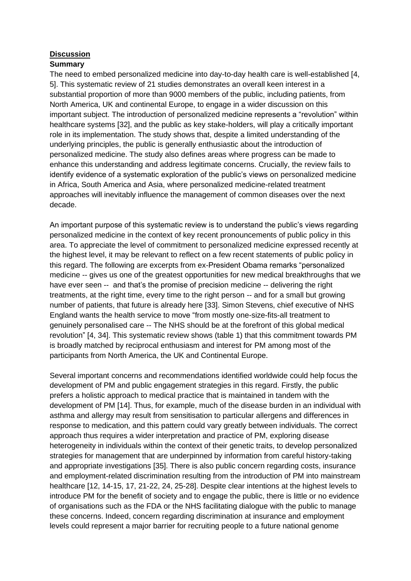#### **Discussion**

# **Summary**

The need to embed personalized medicine into day-to-day health care is well-established [4, 5]. This systematic review of 21 studies demonstrates an overall keen interest in a substantial proportion of more than 9000 members of the public, including patients, from North America, UK and continental Europe, to engage in a wider discussion on this important subject. The introduction of personalized medicine represents a "revolution" within healthcare systems [32], and the public as key stake-holders, will play a critically important role in its implementation. The study shows that, despite a limited understanding of the underlying principles, the public is generally enthusiastic about the introduction of personalized medicine. The study also defines areas where progress can be made to enhance this understanding and address legitimate concerns. Crucially, the review fails to identify evidence of a systematic exploration of the public's views on personalized medicine in Africa, South America and Asia, where personalized medicine-related treatment approaches will inevitably influence the management of common diseases over the next decade.

An important purpose of this systematic review is to understand the public's views regarding personalized medicine in the context of key recent pronouncements of public policy in this area. To appreciate the level of commitment to personalized medicine expressed recently at the highest level, it may be relevant to reflect on a few recent statements of public policy in this regard. The following are excerpts from ex-President Obama remarks "personalized medicine -- gives us one of the greatest opportunities for new medical breakthroughs that we have ever seen -- and that's the promise of precision medicine -- delivering the right treatments, at the right time, every time to the right person -- and for a small but growing number of patients, that future is already here [33]. Simon Stevens, chief executive of NHS England wants the health service to move "from mostly one-size-fits-all treatment to genuinely personalised care -- The NHS should be at the forefront of this global medical revolution" [4, 34]. This systematic review shows (table 1) that this commitment towards PM is broadly matched by reciprocal enthusiasm and interest for PM among most of the participants from North America, the UK and Continental Europe.

Several important concerns and recommendations identified worldwide could help focus the development of PM and public engagement strategies in this regard. Firstly, the public prefers a holistic approach to medical practice that is maintained in tandem with the development of PM [14]. Thus, for example, much of the disease burden in an individual with asthma and allergy may result from sensitisation to particular allergens and differences in response to medication, and this pattern could vary greatly between individuals. The correct approach thus requires a wider interpretation and practice of PM, exploring disease heterogeneity in individuals within the context of their genetic traits, to develop personalized strategies for management that are underpinned by information from careful history-taking and appropriate investigations [35]. There is also public concern regarding costs, insurance and employment-related discrimination resulting from the introduction of PM into mainstream healthcare [12, 14-15, 17, 21-22, 24, 25-28]. Despite clear intentions at the highest levels to introduce PM for the benefit of society and to engage the public, there is little or no evidence of organisations such as the FDA or the NHS facilitating dialogue with the public to manage these concerns. Indeed, concern regarding discrimination at insurance and employment levels could represent a major barrier for recruiting people to a future national genome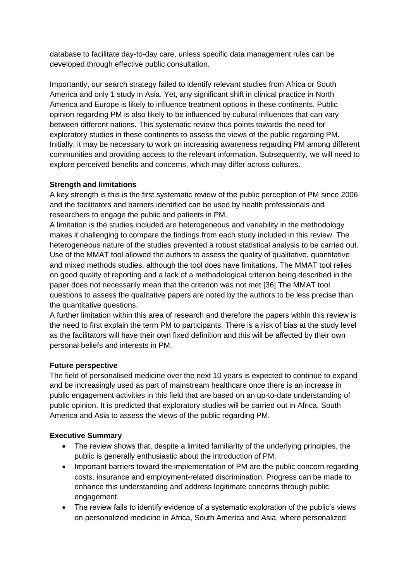database to facilitate day-to-day care, unless specific data management rules can be developed through effective public consultation.

Importantly, our search strategy failed to identify relevant studies from Africa or South America and only 1 study in Asia. Yet, any significant shift in clinical practice in North America and Europe is likely to influence treatment options in these continents. Public opinion regarding PM is also likely to be influenced by cultural influences that can vary between different nations. This systematic review thus points towards the need for exploratory studies in these continents to assess the views of the public regarding PM. Initially, it may be necessary to work on increasing awareness regarding PM among different communities and providing access to the relevant information. Subsequently, we will need to explore perceived benefits and concerns, which may differ across cultures.

#### **Strength and limitations**

A key strength is this is the first systematic review of the public perception of PM since 2006 and the facilitators and barriers identified can be used by health professionals and researchers to engage the public and patients in PM.

A limitation is the studies included are heterogeneous and variability in the methodology makes it challenging to compare the findings from each study included in this review. The heterogeneous nature of the studies prevented a robust statistical analysis to be carried out. Use of the MMAT tool allowed the authors to assess the quality of qualitative, quantitative and mixed methods studies, although the tool does have limitations. The MMAT tool relies on good quality of reporting and a lack of a methodological criterion being described in the paper does not necessarily mean that the criterion was not met [36] The MMAT tool questions to assess the qualitative papers are noted by the authors to be less precise than the quantitative questions.

A further limitation within this area of research and therefore the papers within this review is the need to first explain the term PM to participants. There is a risk of bias at the study level as the facilitators will have their own fixed definition and this will be affected by their own personal beliefs and interests in PM.

#### **Future perspective**

The field of personalised medicine over the next 10 years is expected to continue to expand and be increasingly used as part of mainstream healthcare once there is an increase in public engagement activities in this field that are based on an up-to-date understanding of public opinion. It is predicted that exploratory studies will be carried out in Africa, South America and Asia to assess the views of the public regarding PM.

#### **Executive Summary**

- The review shows that, despite a limited familiarity of the underlying principles, the public is generally enthusiastic about the introduction of PM.
- Important barriers toward the implementation of PM are the public concern regarding costs, insurance and employment-related discrimination. Progress can be made to enhance this understanding and address legitimate concerns through public engagement.
- The review fails to identify evidence of a systematic exploration of the public's views on personalized medicine in Africa, South America and Asia, where personalized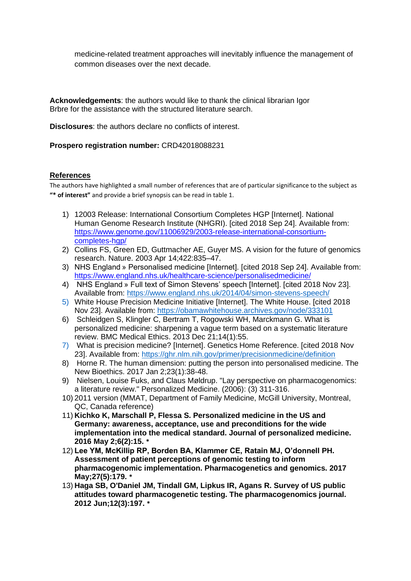medicine-related treatment approaches will inevitably influence the management of common diseases over the next decade.

**Acknowledgements**: the authors would like to thank the clinical librarian Igor Brbre for the assistance with the structured literature search.

**Disclosures**: the authors declare no conflicts of interest.

#### **Prospero registration number:** CRD42018088231

#### **References**

The authors have highlighted a small number of references that are of particular significance to the subject as **"\* of interest"** and provide a brief synopsis can be read in table 1.

- 1) 12003 Release: International Consortium Completes HGP [Internet]. National Human Genome Research Institute (NHGRI). [cited 2018 Sep 24]. Available from: [https://www.genome.gov/11006929/2003-release-international-consortium](https://www.genome.gov/11006929/2003-release-international-consortium-completes-hgp/)[completes-hgp/](https://www.genome.gov/11006929/2003-release-international-consortium-completes-hgp/)
- 2) Collins FS, Green ED, Guttmacher AE, Guyer MS. A vision for the future of genomics research. Nature. 2003 Apr 14;422:835–47.
- 3) NHS England » Personalised medicine [Internet]. [cited 2018 Sep 24]. Available from: <https://www.england.nhs.uk/healthcare-science/personalisedmedicine/>
- 4) NHS England » Full text of Simon Stevens' speech [Internet]. [cited 2018 Nov 23]. Available from:<https://www.england.nhs.uk/2014/04/simon-stevens-speech/>
- 5) White House Precision Medicine Initiative [Internet]. The White House. [cited 2018 Nov 23]. Available from:<https://obamawhitehouse.archives.gov/node/333101>
- 6) Schleidgen S, Klingler C, Bertram T, Rogowski WH, Marckmann G. What is personalized medicine: sharpening a vague term based on a systematic literature review. BMC Medical Ethics. 2013 Dec 21;14(1):55.
- 7) What is precision medicine? [Internet]. Genetics Home Reference. [cited 2018 Nov 23]. Available from:<https://ghr.nlm.nih.gov/primer/precisionmedicine/definition>
- 8) Horne R. The human dimension: putting the person into personalised medicine. The New Bioethics. 2017 Jan 2;23(1):38-48.
- 9) Nielsen, Louise Fuks, and Claus Møldrup. "Lay perspective on pharmacogenomics: a literature review." Personalized Medicine. (2006): (3) 311-316.
- 10) 2011 version (MMAT, Department of Family Medicine, McGill University, Montreal, QC, Canada reference)
- 11) **Kichko K, Marschall P, Flessa S. Personalized medicine in the US and Germany: awareness, acceptance, use and preconditions for the wide implementation into the medical standard. Journal of personalized medicine. 2016 May 2;6(2):15. \***
- 12) **Lee YM, McKillip RP, Borden BA, Klammer CE, Ratain MJ, O'donnell PH. Assessment of patient perceptions of genomic testing to inform pharmacogenomic implementation. Pharmacogenetics and genomics. 2017 May;27(5):179. \***
- 13) **Haga SB, O'Daniel JM, Tindall GM, Lipkus IR, Agans R. Survey of US public attitudes toward pharmacogenetic testing. The pharmacogenomics journal. 2012 Jun;12(3):197. \***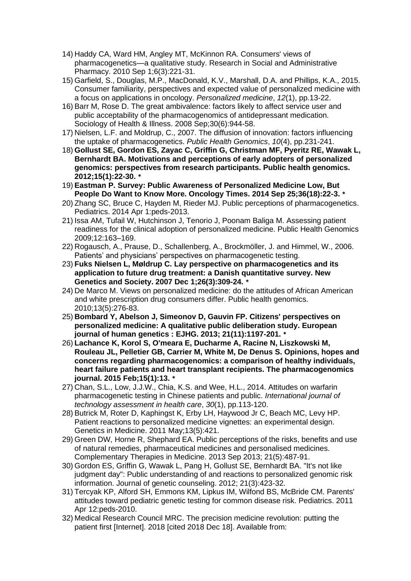- 14) Haddy CA, Ward HM, Angley MT, McKinnon RA. Consumers' views of pharmacogenetics—a qualitative study. Research in Social and Administrative Pharmacy. 2010 Sep 1;6(3):221-31.
- 15) Garfield, S., Douglas, M.P., MacDonald, K.V., Marshall, D.A. and Phillips, K.A., 2015. Consumer familiarity, perspectives and expected value of personalized medicine with a focus on applications in oncology. *Personalized medicine*, *12*(1), pp.13-22.
- 16) Barr M, Rose D. The great ambivalence: factors likely to affect service user and public acceptability of the pharmacogenomics of antidepressant medication. Sociology of Health & Illness. 2008 Sep;30(6):944-58.
- 17) Nielsen, L.F. and Moldrup, C., 2007. The diffusion of innovation: factors influencing the uptake of pharmacogenetics. *Public Health Genomics*, *10*(4), pp.231-241.
- 18) **Gollust SE, Gordon ES, Zayac C, Griffin G, Christman MF, Pyeritz RE, Wawak L, Bernhardt BA. Motivations and perceptions of early adopters of personalized genomics: perspectives from research participants. Public health genomics. 2012;15(1):22-30. \***
- 19) **Eastman P. Survey: Public Awareness of Personalized Medicine Low, But People Do Want to Know More. Oncology Times. 2014 Sep 25;36(18):22-3. \***
- 20) Zhang SC, Bruce C, Hayden M, Rieder MJ. Public perceptions of pharmacogenetics. Pediatrics. 2014 Apr 1:peds-2013.
- 21) Issa AM, Tufail W, Hutchinson J, Tenorio J, Poonam Baliga M. Assessing patient readiness for the clinical adoption of personalized medicine. Public Health Genomics 2009;12:163–169.
- 22) Rogausch, A., Prause, D., Schallenberg, A., Brockmöller, J. and Himmel, W., 2006. Patients' and physicians' perspectives on pharmacogenetic testing.
- 23) **Fuks Nielsen L, Møldrup C. Lay perspective on pharmacogenetics and its application to future drug treatment: a Danish quantitative survey. New Genetics and Society. 2007 Dec 1;26(3):309-24. \***
- 24) De Marco M. Views on personalized medicine: do the attitudes of African American and white prescription drug consumers differ. Public health genomics. 2010;13(5):276-83.
- 25) **Bombard Y, Abelson J, Simeonov D, Gauvin FP. Citizens' perspectives on personalized medicine: A qualitative public deliberation study. European journal of human genetics : EJHG. 2013; 21(11):1197-201. \***
- 26) **Lachance K, Korol S, O'meara E, Ducharme A, Racine N, Liszkowski M, Rouleau JL, Pelletier GB, Carrier M, White M, De Denus S. Opinions, hopes and concerns regarding pharmacogenomics: a comparison of healthy individuals, heart failure patients and heart transplant recipients. The pharmacogenomics journal. 2015 Feb;15(1):13. \***
- 27) Chan, S.L., Low, J.J.W., Chia, K.S. and Wee, H.L., 2014. Attitudes on warfarin pharmacogenetic testing in Chinese patients and public. *International journal of technology assessment in health care*, *30*(1), pp.113-120.
- 28) Butrick M, Roter D, Kaphingst K, Erby LH, Haywood Jr C, Beach MC, Levy HP. Patient reactions to personalized medicine vignettes: an experimental design. Genetics in Medicine. 2011 May;13(5):421.
- 29) Green DW, Horne R, Shephard EA. Public perceptions of the risks, benefits and use of natural remedies, pharmaceutical medicines and personalised medicines. Complementary Therapies in Medicine. 2013 Sep 2013; 21(5):487-91.
- 30) Gordon ES, Griffin G, Wawak L, Pang H, Gollust SE, Bernhardt BA. "It's not like judgment day": Public understanding of and reactions to personalized genomic risk information. Journal of genetic counseling. 2012; 21(3):423-32.
- 31) Tercyak KP, Alford SH, Emmons KM, Lipkus IM, Wilfond BS, McBride CM. Parents' attitudes toward pediatric genetic testing for common disease risk. Pediatrics. 2011 Apr 12:peds-2010.
- 32) Medical Research Council MRC. The precision medicine revolution: putting the patient first [Internet]. 2018 [cited 2018 Dec 18]. Available from: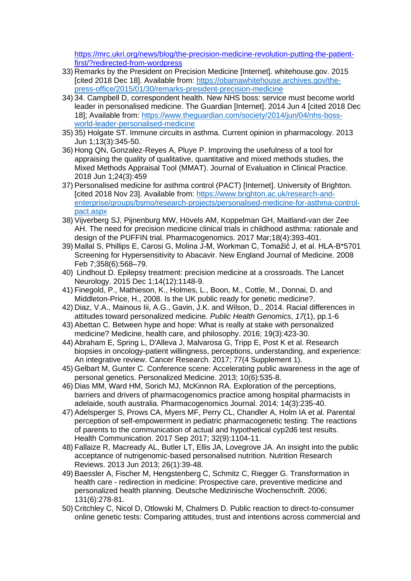[https://mrc.ukri.org/news/blog/the-precision-medicine-revolution-putting-the-patient](https://mrc.ukri.org/news/blog/the-precision-medicine-revolution-putting-the-patient-first/?redirected-from-wordpress)[first/?redirected-from-wordpress](https://mrc.ukri.org/news/blog/the-precision-medicine-revolution-putting-the-patient-first/?redirected-from-wordpress)

- 33) Remarks by the President on Precision Medicine [Internet]. whitehouse.gov. 2015 [cited 2018 Dec 18]. Available from: [https://obamawhitehouse.archives.gov/the](https://obamawhitehouse.archives.gov/the-press-office/2015/01/30/remarks-president-precision-medicine)[press-office/2015/01/30/remarks-president-precision-medicine](https://obamawhitehouse.archives.gov/the-press-office/2015/01/30/remarks-president-precision-medicine)
- 34) 34. Campbell D, correspondent health. New NHS boss: service must become world leader in personalised medicine. The Guardian [Internet]. 2014 Jun 4 [cited 2018 Dec 18]; Available from: [https://www.theguardian.com/society/2014/jun/04/nhs-boss](https://www.theguardian.com/society/2014/jun/04/nhs-boss-world-leader-personalised-medicine)[world-leader-personalised-medicine](https://www.theguardian.com/society/2014/jun/04/nhs-boss-world-leader-personalised-medicine)
- 35) 35) Holgate ST. Immune circuits in asthma. Current opinion in pharmacology. 2013 Jun 1;13(3):345-50.
- 36) Hong QN, Gonzalez‐Reyes A, Pluye P. Improving the usefulness of a tool for appraising the quality of qualitative, quantitative and mixed methods studies, the Mixed Methods Appraisal Tool (MMAT). Journal of Evaluation in Clinical Practice. 2018 Jun 1;24(3):459
- 37) Personalised medicine for asthma control (PACT) [Internet]. University of Brighton. [cited 2018 Nov 23]. Available from: [https://www.brighton.ac.uk/research-and](https://www.brighton.ac.uk/research-and-enterprise/groups/bsmo/research-projects/personalised-medicine-for-asthma-control-pact.aspx)[enterprise/groups/bsmo/research-projects/personalised-medicine-for-asthma-control](https://www.brighton.ac.uk/research-and-enterprise/groups/bsmo/research-projects/personalised-medicine-for-asthma-control-pact.aspx)[pact.aspx](https://www.brighton.ac.uk/research-and-enterprise/groups/bsmo/research-projects/personalised-medicine-for-asthma-control-pact.aspx)
- 38) Vijverberg SJ, Pijnenburg MW, Hövels AM, Koppelman GH, Maitland-van der Zee AH. The need for precision medicine clinical trials in childhood asthma: rationale and design of the PUFFIN trial. Pharmacogenomics. 2017 Mar;18(4):393-401.
- 39) Mallal S, Phillips E, Carosi G, Molina J-M, Workman C, Tomažič J, et al. HLA-B\*5701 Screening for Hypersensitivity to Abacavir. New England Journal of Medicine. 2008 Feb 7;358(6):568–79.
- 40) Lindhout D. Epilepsy treatment: precision medicine at a crossroads. The Lancet Neurology. 2015 Dec 1;14(12):1148-9.
- 41) Finegold, P., Mathieson, K., Holmes, L., Boon, M., Cottle, M., Donnai, D. and Middleton-Price, H., 2008. Is the UK public ready for genetic medicine?.
- 42) Diaz, V.A., Mainous Iii, A.G., Gavin, J.K. and Wilson, D., 2014. Racial differences in attitudes toward personalized medicine. *Public Health Genomics*, *17*(1), pp.1-6
- 43) Abettan C. Between hype and hope: What is really at stake with personalized medicine? Medicine, health care, and philosophy. 2016; 19(3):423-30.
- 44) Abraham E, Spring L, D'Alleva J, Malvarosa G, Tripp E, Post K et al. Research biopsies in oncology-patient willingness, perceptions, understanding, and experience: An integrative review. Cancer Research. 2017; 77(4 Supplement 1).
- 45) Gelbart M, Gunter C. Conference scene: Accelerating public awareness in the age of personal genetics. Personalized Medicine. 2013; 10(6):535-8.
- 46) Dias MM, Ward HM, Sorich MJ, McKinnon RA. Exploration of the perceptions, barriers and drivers of pharmacogenomics practice among hospital pharmacists in adelaide, south australia. Pharmacogenomics Journal. 2014; 14(3):235-40.
- 47) Adelsperger S, Prows CA, Myers MF, Perry CL, Chandler A, Holm IA et al. Parental perception of self-empowerment in pediatric pharmacogenetic testing: The reactions of parents to the communication of actual and hypothetical cyp2d6 test results. Health Communication. 2017 Sep 2017; 32(9):1104-11.
- 48) Fallaize R, Macready AL, Butler LT, Ellis JA, Lovegrove JA. An insight into the public acceptance of nutrigenomic-based personalised nutrition. Nutrition Research Reviews. 2013 Jun 2013; 26(1):39-48.
- 49) Baessler A, Fischer M, Hengstenberg C, Schmitz C, Riegger G. Transformation in health care - redirection in medicine: Prospective care, preventive medicine and personalized health planning. Deutsche Medizinische Wochenschrift. 2006; 131(6):278-81.
- 50) Critchley C, Nicol D, Otlowski M, Chalmers D. Public reaction to direct-to-consumer online genetic tests: Comparing attitudes, trust and intentions across commercial and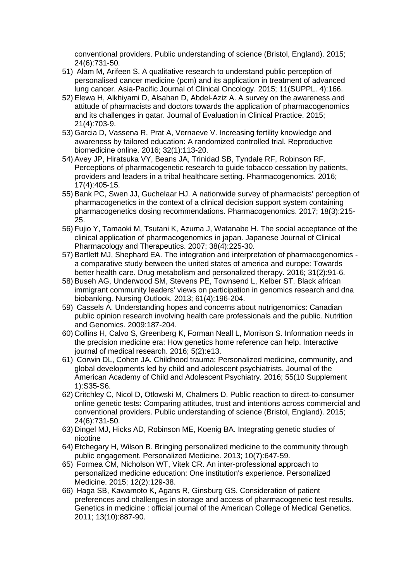conventional providers. Public understanding of science (Bristol, England). 2015; 24(6):731-50.

- 51) Alam M, Arifeen S. A qualitative research to understand public perception of personalised cancer medicine (pcm) and its application in treatment of advanced lung cancer. Asia-Pacific Journal of Clinical Oncology. 2015; 11(SUPPL. 4):166.
- 52) Elewa H, Alkhiyami D, Alsahan D, Abdel-Aziz A. A survey on the awareness and attitude of pharmacists and doctors towards the application of pharmacogenomics and its challenges in qatar. Journal of Evaluation in Clinical Practice. 2015; 21(4):703-9.
- 53) Garcia D, Vassena R, Prat A, Vernaeve V. Increasing fertility knowledge and awareness by tailored education: A randomized controlled trial. Reproductive biomedicine online. 2016; 32(1):113-20.
- 54) Avey JP, Hiratsuka VY, Beans JA, Trinidad SB, Tyndale RF, Robinson RF. Perceptions of pharmacogenetic research to guide tobacco cessation by patients, providers and leaders in a tribal healthcare setting. Pharmacogenomics. 2016; 17(4):405-15.
- 55) Bank PC, Swen JJ, Guchelaar HJ. A nationwide survey of pharmacists' perception of pharmacogenetics in the context of a clinical decision support system containing pharmacogenetics dosing recommendations. Pharmacogenomics. 2017; 18(3):215- 25.
- 56) Fujio Y, Tamaoki M, Tsutani K, Azuma J, Watanabe H. The social acceptance of the clinical application of pharmacogenomics in japan. Japanese Journal of Clinical Pharmacology and Therapeutics. 2007; 38(4):225-30.
- 57) Bartlett MJ, Shephard EA. The integration and interpretation of pharmacogenomics a comparative study between the united states of america and europe: Towards better health care. Drug metabolism and personalized therapy. 2016; 31(2):91-6.
- 58) Buseh AG, Underwood SM, Stevens PE, Townsend L, Kelber ST. Black african immigrant community leaders' views on participation in genomics research and dna biobanking. Nursing Outlook. 2013; 61(4):196-204.
- 59) Cassels A. Understanding hopes and concerns about nutrigenomics: Canadian public opinion research involving health care professionals and the public. Nutrition and Genomics. 2009:187-204.
- 60) Collins H, Calvo S, Greenberg K, Forman Neall L, Morrison S. Information needs in the precision medicine era: How genetics home reference can help. Interactive journal of medical research. 2016; 5(2):e13.
- 61) Corwin DL, Cohen JA. Childhood trauma: Personalized medicine, community, and global developments led by child and adolescent psychiatrists. Journal of the American Academy of Child and Adolescent Psychiatry. 2016; 55(10 Supplement 1):S35-S6.
- 62) Critchley C, Nicol D, Otlowski M, Chalmers D. Public reaction to direct-to-consumer online genetic tests: Comparing attitudes, trust and intentions across commercial and conventional providers. Public understanding of science (Bristol, England). 2015; 24(6):731-50.
- 63) Dingel MJ, Hicks AD, Robinson ME, Koenig BA. Integrating genetic studies of nicotine
- 64) Etchegary H, Wilson B. Bringing personalized medicine to the community through public engagement. Personalized Medicine. 2013; 10(7):647-59.
- 65) Formea CM, Nicholson WT, Vitek CR. An inter-professional approach to personalized medicine education: One institution's experience. Personalized Medicine. 2015; 12(2):129-38.
- 66) Haga SB, Kawamoto K, Agans R, Ginsburg GS. Consideration of patient preferences and challenges in storage and access of pharmacogenetic test results. Genetics in medicine : official journal of the American College of Medical Genetics. 2011; 13(10):887-90.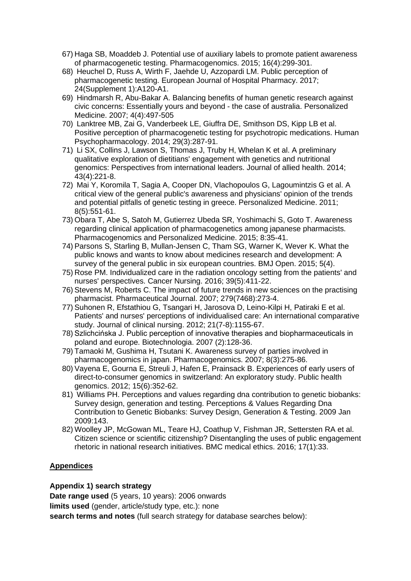- 67) Haga SB, Moaddeb J. Potential use of auxiliary labels to promote patient awareness of pharmacogenetic testing. Pharmacogenomics. 2015; 16(4):299-301.
- 68) Heuchel D, Russ A, Wirth F, Jaehde U, Azzopardi LM. Public perception of pharmacogenetic testing. European Journal of Hospital Pharmacy. 2017; 24(Supplement 1):A120-A1.
- 69) Hindmarsh R, Abu-Bakar A. Balancing benefits of human genetic research against civic concerns: Essentially yours and beyond - the case of australia. Personalized Medicine. 2007; 4(4):497-505
- 70) Lanktree MB, Zai G, Vanderbeek LE, Giuffra DE, Smithson DS, Kipp LB et al. Positive perception of pharmacogenetic testing for psychotropic medications. Human Psychopharmacology. 2014; 29(3):287-91.
- 71) Li SX, Collins J, Lawson S, Thomas J, Truby H, Whelan K et al. A preliminary qualitative exploration of dietitians' engagement with genetics and nutritional genomics: Perspectives from international leaders. Journal of allied health. 2014; 43(4):221-8.
- 72) Mai Y, Koromila T, Sagia A, Cooper DN, Vlachopoulos G, Lagoumintzis G et al. A critical view of the general public's awareness and physicians' opinion of the trends and potential pitfalls of genetic testing in greece. Personalized Medicine. 2011; 8(5):551-61.
- 73) Obara T, Abe S, Satoh M, Gutierrez Ubeda SR, Yoshimachi S, Goto T. Awareness regarding clinical application of pharmacogenetics among japanese pharmacists. Pharmacogenomics and Personalized Medicine. 2015; 8:35-41.
- 74) Parsons S, Starling B, Mullan-Jensen C, Tham SG, Warner K, Wever K. What the public knows and wants to know about medicines research and development: A survey of the general public in six european countries. BMJ Open. 2015; 5(4).
- 75) Rose PM. Individualized care in the radiation oncology setting from the patients' and nurses' perspectives. Cancer Nursing. 2016; 39(5):411-22.
- 76) Stevens M, Roberts C. The impact of future trends in new sciences on the practising pharmacist. Pharmaceutical Journal. 2007; 279(7468):273-4.
- 77) Suhonen R, Efstathiou G, Tsangari H, Jarosova D, Leino-Kilpi H, Patiraki E et al. Patients' and nurses' perceptions of individualised care: An international comparative study. Journal of clinical nursing. 2012; 21(7-8):1155-67.
- 78) Szlichcińska J. Public perception of innovative therapies and biopharmaceuticals in poland and europe. Biotechnologia. 2007 (2):128-36.
- 79) Tamaoki M, Gushima H, Tsutani K. Awareness survey of parties involved in pharmacogenomics in japan. Pharmacogenomics. 2007; 8(3):275-86.
- 80) Vayena E, Gourna E, Streuli J, Hafen E, Prainsack B. Experiences of early users of direct-to-consumer genomics in switzerland: An exploratory study. Public health genomics. 2012; 15(6):352-62.
- 81) Williams PH. Perceptions and values regarding dna contribution to genetic biobanks: Survey design, generation and testing. Perceptions & Values Regarding Dna Contribution to Genetic Biobanks: Survey Design, Generation & Testing. 2009 Jan 2009:143.
- 82) Woolley JP, McGowan ML, Teare HJ, Coathup V, Fishman JR, Settersten RA et al. Citizen science or scientific citizenship? Disentangling the uses of public engagement rhetoric in national research initiatives. BMC medical ethics. 2016; 17(1):33.

# **Appendices**

# **Appendix 1) search strategy**

**Date range used** (5 years, 10 years): 2006 onwards **limits used** (gender, article/study type, etc.): none **search terms and notes** (full search strategy for database searches below):